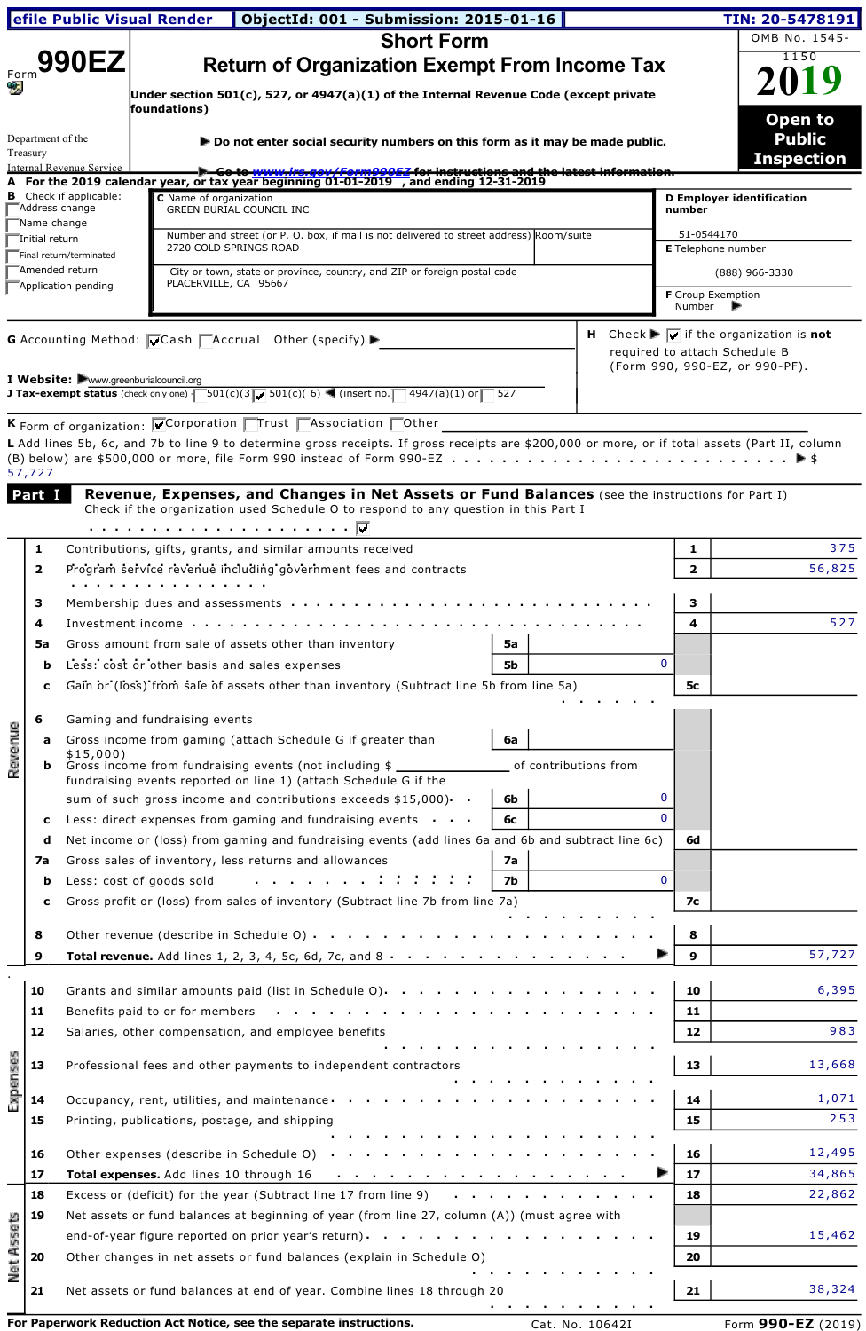|                   |                         |                                                                                         | efile Public Visual Render   ObjectId: 001 - Submission: 2015-01-16                                                                                                                                                                                                      |                    |                       |  |              |                                                                 | TIN: 20-5478191                                                             |
|-------------------|-------------------------|-----------------------------------------------------------------------------------------|--------------------------------------------------------------------------------------------------------------------------------------------------------------------------------------------------------------------------------------------------------------------------|--------------------|-----------------------|--|--------------|-----------------------------------------------------------------|-----------------------------------------------------------------------------|
|                   |                         |                                                                                         | <b>Short Form</b>                                                                                                                                                                                                                                                        |                    |                       |  |              |                                                                 | OMB No. 1545-                                                               |
|                   |                         | <b>990EZ</b>                                                                            | <b>Return of Organization Exempt From Income Tax</b>                                                                                                                                                                                                                     |                    |                       |  |              |                                                                 | 1150                                                                        |
|                   |                         |                                                                                         | Under section 501(c), 527, or 4947(a)(1) of the Internal Revenue Code (except private                                                                                                                                                                                    |                    |                       |  |              |                                                                 | 2019                                                                        |
|                   |                         |                                                                                         | foundations)                                                                                                                                                                                                                                                             |                    |                       |  |              |                                                                 |                                                                             |
|                   |                         |                                                                                         |                                                                                                                                                                                                                                                                          |                    |                       |  |              |                                                                 | Open to                                                                     |
|                   | Department of the       |                                                                                         | $\blacktriangleright$ Do not enter social security numbers on this form as it may be made public.                                                                                                                                                                        |                    |                       |  |              |                                                                 | <b>Public</b>                                                               |
|                   | Treasury                | Internal Revenue Service                                                                | <del>Go to www.irs.gov/Form990EZ for instructions and the latest informatio</del>                                                                                                                                                                                        |                    |                       |  |              |                                                                 | <b>Inspection</b>                                                           |
|                   |                         |                                                                                         | A For the 2019 calendar year, or tax year beginning 01-01-2019 , and ending 12-31-2019                                                                                                                                                                                   |                    |                       |  |              |                                                                 |                                                                             |
|                   | Address change          | <b>B</b> Check if applicable:                                                           | C Name of organization<br>GREEN BURIAL COUNCIL INC                                                                                                                                                                                                                       |                    |                       |  | number       | D Employer identification                                       |                                                                             |
|                   | "Name change            |                                                                                         |                                                                                                                                                                                                                                                                          |                    |                       |  |              |                                                                 |                                                                             |
|                   | -Initial return         |                                                                                         | Number and street (or P. O. box, if mail is not delivered to street address) Room/suite<br>2720 COLD SPRINGS ROAD                                                                                                                                                        |                    |                       |  |              | 51-0544170<br><b>E</b> Telephone number                         |                                                                             |
|                   | Amended return          | Final return/terminated                                                                 |                                                                                                                                                                                                                                                                          |                    |                       |  |              |                                                                 |                                                                             |
|                   |                         | Application pending                                                                     | City or town, state or province, country, and ZIP or foreign postal code<br>PLACERVILLE, CA 95667                                                                                                                                                                        |                    |                       |  |              | (888) 966-3330                                                  |                                                                             |
|                   |                         |                                                                                         |                                                                                                                                                                                                                                                                          |                    |                       |  | Number       | <b>F</b> Group Exemption                                        |                                                                             |
|                   |                         |                                                                                         |                                                                                                                                                                                                                                                                          |                    |                       |  |              |                                                                 |                                                                             |
|                   |                         |                                                                                         | G Accounting Method: Cash CAccrual Other (specify) ▶                                                                                                                                                                                                                     |                    |                       |  |              |                                                                 | <b>H</b> Check $\blacktriangleright \Box$ if the organization is <b>not</b> |
|                   |                         |                                                                                         |                                                                                                                                                                                                                                                                          |                    |                       |  |              | required to attach Schedule B<br>(Form 990, 990-EZ, or 990-PF). |                                                                             |
|                   |                         |                                                                                         | I Website: Www.greenburialcouncil.org                                                                                                                                                                                                                                    |                    |                       |  |              |                                                                 |                                                                             |
|                   |                         |                                                                                         | <b>J Tax-exempt status</b> (check only one) $\sqrt{501(c)(3/150(c)(6)}$ (insert no. 1947(a)(1) or 527                                                                                                                                                                    |                    |                       |  |              |                                                                 |                                                                             |
|                   |                         |                                                                                         | K Form of organization: Corporation <b>T</b> rust <b>TAssociation</b> Tother                                                                                                                                                                                             |                    |                       |  |              |                                                                 |                                                                             |
|                   |                         |                                                                                         | L Add lines 5b, 6c, and 7b to line 9 to determine gross receipts. If gross receipts are \$200,000 or more, or if total assets (Part II, column                                                                                                                           |                    |                       |  |              |                                                                 |                                                                             |
|                   |                         |                                                                                         |                                                                                                                                                                                                                                                                          |                    |                       |  |              |                                                                 |                                                                             |
|                   | 57,727                  |                                                                                         |                                                                                                                                                                                                                                                                          |                    |                       |  |              |                                                                 |                                                                             |
|                   | Part I                  |                                                                                         | Revenue, Expenses, and Changes in Net Assets or Fund Balances (see the instructions for Part I)                                                                                                                                                                          |                    |                       |  |              |                                                                 |                                                                             |
|                   |                         |                                                                                         | Check if the organization used Schedule O to respond to any question in this Part I                                                                                                                                                                                      |                    |                       |  |              |                                                                 |                                                                             |
|                   |                         |                                                                                         |                                                                                                                                                                                                                                                                          |                    |                       |  |              |                                                                 |                                                                             |
|                   | 1                       |                                                                                         | Contributions, gifts, grants, and similar amounts received                                                                                                                                                                                                               |                    |                       |  | 1            |                                                                 | 375                                                                         |
|                   | $\overline{\mathbf{2}}$ |                                                                                         | Program service revenue including government fees and contracts                                                                                                                                                                                                          |                    |                       |  | 2            |                                                                 | 56,825                                                                      |
|                   |                         |                                                                                         | .<br>.                                                                                                                                                                                                                                                                   |                    |                       |  |              |                                                                 |                                                                             |
|                   | з                       |                                                                                         | Membership dues and assessments $\cdots$ .                                                                                                                                                                                                                               |                    |                       |  | 3            |                                                                 |                                                                             |
|                   | 4                       |                                                                                         | Investment income                                                                                                                                                                                                                                                        |                    |                       |  | 4            |                                                                 | 527                                                                         |
|                   | 5a                      |                                                                                         | Gross amount from sale of assets other than inventory                                                                                                                                                                                                                    | 5a                 |                       |  |              |                                                                 |                                                                             |
|                   | b                       |                                                                                         | Less: cost or other basis and sales expenses                                                                                                                                                                                                                             | 5b                 |                       |  | $\mathbf{0}$ |                                                                 |                                                                             |
|                   | c                       | Gain or (loss) from sale of assets other than inventory (Subtract line 5b from line 5a) |                                                                                                                                                                                                                                                                          |                    |                       |  |              |                                                                 |                                                                             |
|                   |                         |                                                                                         |                                                                                                                                                                                                                                                                          |                    |                       |  |              |                                                                 |                                                                             |
| g                 | 6                       |                                                                                         | Gaming and fundraising events                                                                                                                                                                                                                                            | $\vert$ 6a $\vert$ |                       |  |              |                                                                 |                                                                             |
|                   |                         | \$15,000                                                                                | Gross income from gaming (attach Schedule G if greater than                                                                                                                                                                                                              |                    |                       |  |              |                                                                 |                                                                             |
| Reven             | ь                       |                                                                                         | Gross income from fundraising events (not including \$                                                                                                                                                                                                                   |                    | of contributions from |  |              |                                                                 |                                                                             |
|                   |                         |                                                                                         | fundraising events reported on line 1) (attach Schedule G if the                                                                                                                                                                                                         |                    |                       |  |              |                                                                 |                                                                             |
|                   |                         |                                                                                         | sum of such gross income and contributions exceeds $$15,000$ ).                                                                                                                                                                                                          | 6b                 |                       |  | 0            |                                                                 |                                                                             |
|                   | c                       |                                                                                         | Less: direct expenses from gaming and fundraising events $\cdot \cdot \cdot$                                                                                                                                                                                             | 6с                 |                       |  | $\Omega$     |                                                                 |                                                                             |
|                   | d                       |                                                                                         | Net income or (loss) from gaming and fundraising events (add lines 6a and 6b and subtract line 6c)                                                                                                                                                                       |                    |                       |  | 6d           |                                                                 |                                                                             |
|                   | 7a                      |                                                                                         | Gross sales of inventory, less returns and allowances                                                                                                                                                                                                                    | 7a                 |                       |  |              |                                                                 |                                                                             |
|                   | b                       |                                                                                         | Less: cost of goods sold                                                                                                                                                                                                                                                 | 7b                 |                       |  | $\mathbf 0$  |                                                                 |                                                                             |
|                   | c                       |                                                                                         | Gross profit or (loss) from sales of inventory (Subtract line 7b from line 7a)                                                                                                                                                                                           |                    |                       |  | 7с           |                                                                 |                                                                             |
|                   |                         |                                                                                         |                                                                                                                                                                                                                                                                          |                    |                       |  |              |                                                                 |                                                                             |
|                   | 8                       |                                                                                         | Other revenue (describe in Schedule O)                                                                                                                                                                                                                                   |                    |                       |  | 8            |                                                                 |                                                                             |
|                   | 9                       |                                                                                         | <b>Total revenue.</b> Add lines 1, 2, 3, 4, 5c, 6d, 7c, and 8 $\cdots$ $\cdots$ $\cdots$ $\cdots$ $\cdots$                                                                                                                                                               |                    |                       |  | 9            |                                                                 | 57,727                                                                      |
|                   | 10                      |                                                                                         |                                                                                                                                                                                                                                                                          |                    |                       |  | 10           |                                                                 | 6,395                                                                       |
|                   |                         |                                                                                         | Grants and similar amounts paid (list in Schedule O) $\cdots$ $\cdots$ $\cdots$                                                                                                                                                                                          |                    |                       |  |              |                                                                 |                                                                             |
|                   | 11                      |                                                                                         | Benefits paid to or for members                                                                                                                                                                                                                                          |                    |                       |  | 11           |                                                                 |                                                                             |
|                   | 12                      |                                                                                         | Salaries, other compensation, and employee benefits                                                                                                                                                                                                                      |                    |                       |  | 12           |                                                                 | 983                                                                         |
|                   | 13                      |                                                                                         | Professional fees and other payments to independent contractors                                                                                                                                                                                                          |                    |                       |  | 13           |                                                                 | 13,668                                                                      |
|                   |                         |                                                                                         |                                                                                                                                                                                                                                                                          |                    |                       |  |              |                                                                 |                                                                             |
| Expenses          | 14                      |                                                                                         | Occupancy, rent, utilities, and maintenance                                                                                                                                                                                                                              |                    |                       |  | 14           |                                                                 | 1,071                                                                       |
|                   | 15                      |                                                                                         | Printing, publications, postage, and shipping                                                                                                                                                                                                                            |                    |                       |  | 15           |                                                                 | 253                                                                         |
|                   |                         |                                                                                         |                                                                                                                                                                                                                                                                          |                    |                       |  |              |                                                                 |                                                                             |
|                   | 16                      |                                                                                         | Other expenses (describe in Schedule O) .                                                                                                                                                                                                                                |                    |                       |  | 16           |                                                                 | 12,495                                                                      |
|                   | 17                      |                                                                                         | Total expenses. Add lines 10 through 16<br>the company of the company of the company of the company of the company of the company of the company of the company of the company of the company of the company of the company of the company of the company of the company |                    |                       |  | 17           |                                                                 | 34,865                                                                      |
|                   | 18                      |                                                                                         | Excess or (deficit) for the year (Subtract line 17 from line 9)<br>the contract of the contract of                                                                                                                                                                       |                    |                       |  | 18           |                                                                 | 22,862                                                                      |
|                   | 19                      |                                                                                         | Net assets or fund balances at beginning of year (from line 27, column (A)) (must agree with                                                                                                                                                                             |                    |                       |  |              |                                                                 |                                                                             |
|                   |                         |                                                                                         | end-of-year figure reported on prior year's return). $\cdots$                                                                                                                                                                                                            |                    |                       |  | 19           |                                                                 | 15,462                                                                      |
| <b>Net Assets</b> | 20                      |                                                                                         | Other changes in net assets or fund balances (explain in Schedule O)                                                                                                                                                                                                     |                    |                       |  | 20           |                                                                 |                                                                             |
|                   |                         |                                                                                         |                                                                                                                                                                                                                                                                          |                    |                       |  |              |                                                                 |                                                                             |
|                   | 21                      |                                                                                         | Net assets or fund balances at end of year. Combine lines 18 through 20                                                                                                                                                                                                  |                    |                       |  | 21           |                                                                 | 38,324                                                                      |
|                   |                         |                                                                                         |                                                                                                                                                                                                                                                                          |                    |                       |  |              |                                                                 |                                                                             |
|                   |                         |                                                                                         | For Paperwork Reduction Act Notice, see the separate instructions.                                                                                                                                                                                                       |                    | Cat. No. 10642I       |  |              |                                                                 | Form 990-EZ (2019)                                                          |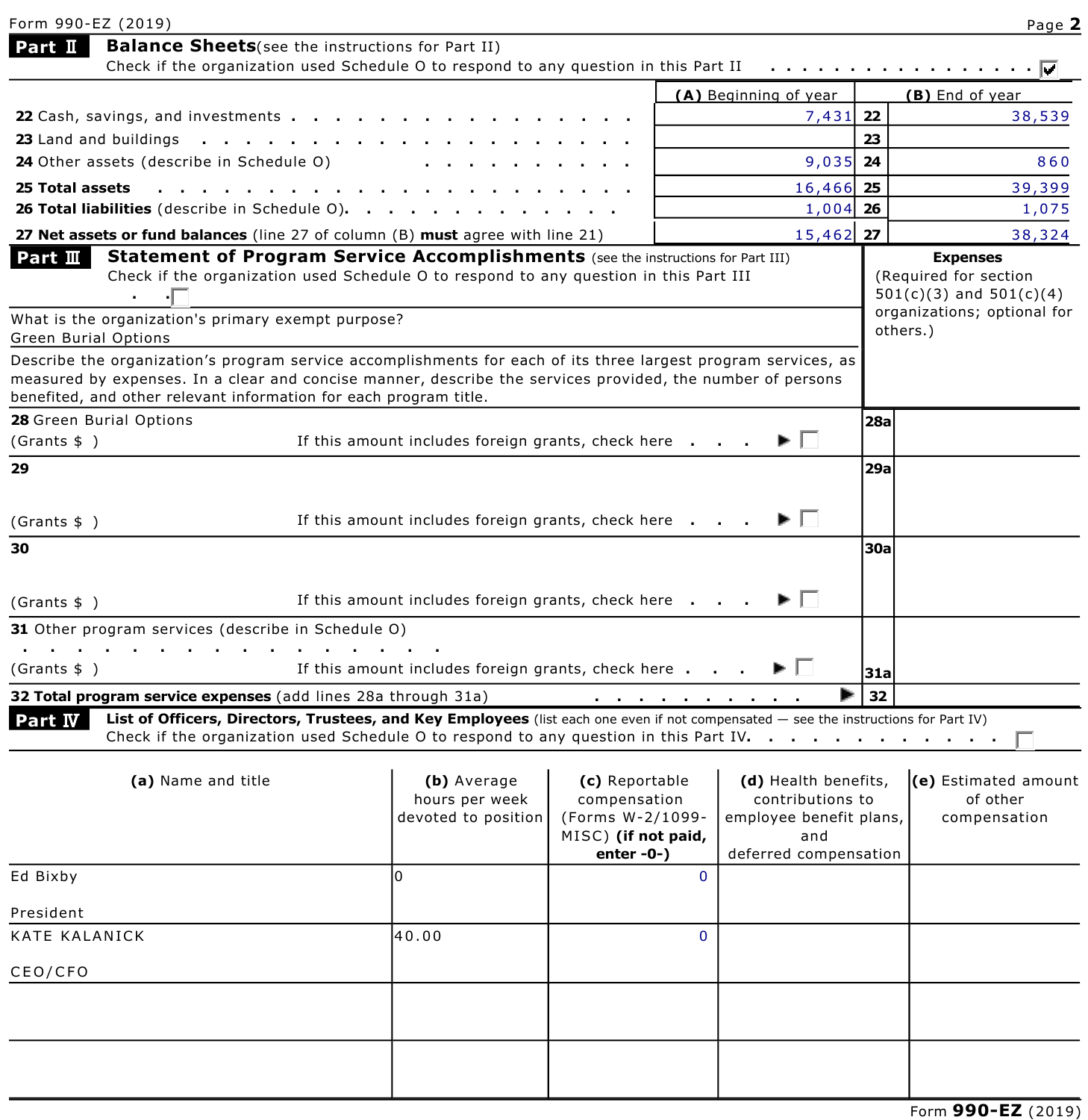| Form 990-EZ (2019)                                                                                                                                                                                                                                                                                |                                                      |                                                                                               |                                                                                                     |     | Page 2                                                                  |
|---------------------------------------------------------------------------------------------------------------------------------------------------------------------------------------------------------------------------------------------------------------------------------------------------|------------------------------------------------------|-----------------------------------------------------------------------------------------------|-----------------------------------------------------------------------------------------------------|-----|-------------------------------------------------------------------------|
| <b>Balance Sheets</b> (see the instructions for Part II)<br>Part II                                                                                                                                                                                                                               |                                                      |                                                                                               |                                                                                                     |     |                                                                         |
| Check if the organization used Schedule O to respond to any question in this Part II                                                                                                                                                                                                              |                                                      |                                                                                               |                                                                                                     |     | .                                                                       |
|                                                                                                                                                                                                                                                                                                   |                                                      |                                                                                               | (A) Beginning of year                                                                               | 22  | (B) End of year                                                         |
| 22 Cash, savings, and investments<br>23 Land and buildings $\ldots$ $\ldots$<br>$\sim$ $\sim$ $\sim$                                                                                                                                                                                              |                                                      |                                                                                               | 7,431                                                                                               | 23  | 38,539                                                                  |
| 24 Other assets (describe in Schedule O)                                                                                                                                                                                                                                                          |                                                      |                                                                                               | 9,035 24                                                                                            |     | 860                                                                     |
| 25 Total assets                                                                                                                                                                                                                                                                                   |                                                      |                                                                                               | 16,466 25                                                                                           |     | 39,399                                                                  |
| 26 Total liabilities (describe in Schedule O).                                                                                                                                                                                                                                                    |                                                      |                                                                                               | $1,004$ 26                                                                                          |     | 1,075                                                                   |
| 27 Net assets or fund balances (line 27 of column (B) must agree with line 21)                                                                                                                                                                                                                    |                                                      |                                                                                               | 15,462 27                                                                                           |     | 38,324                                                                  |
| Statement of Program Service Accomplishments (see the instructions for Part III)<br>Part $\mathbf I\mathbf I$<br>Check if the organization used Schedule O to respond to any question in this Part III<br>۰Г<br>$\sim 100$                                                                        |                                                      |                                                                                               |                                                                                                     |     | <b>Expenses</b><br>(Required for section<br>$501(c)(3)$ and $501(c)(4)$ |
| What is the organization's primary exempt purpose?<br>Green Burial Options                                                                                                                                                                                                                        |                                                      |                                                                                               |                                                                                                     |     | organizations; optional for<br>others.)                                 |
| Describe the organization's program service accomplishments for each of its three largest program services, as<br>measured by expenses. In a clear and concise manner, describe the services provided, the number of persons<br>benefited, and other relevant information for each program title. |                                                      |                                                                                               |                                                                                                     |     |                                                                         |
| 28 Green Burial Options                                                                                                                                                                                                                                                                           |                                                      |                                                                                               |                                                                                                     | 28a |                                                                         |
| (Grants \$ )                                                                                                                                                                                                                                                                                      | If this amount includes foreign grants, check here   |                                                                                               | ► ∣∣                                                                                                |     |                                                                         |
| 29                                                                                                                                                                                                                                                                                                |                                                      |                                                                                               |                                                                                                     | 29a |                                                                         |
| (Grants \$)                                                                                                                                                                                                                                                                                       | If this amount includes foreign grants, check here   |                                                                                               | ▶ □                                                                                                 |     |                                                                         |
| 30                                                                                                                                                                                                                                                                                                |                                                      |                                                                                               |                                                                                                     | 30a |                                                                         |
| (Grants \$ )                                                                                                                                                                                                                                                                                      | If this amount includes foreign grants, check here   |                                                                                               |                                                                                                     |     |                                                                         |
| <b>31</b> Other program services (describe in Schedule O)                                                                                                                                                                                                                                         |                                                      |                                                                                               |                                                                                                     |     |                                                                         |
| (Grants \$ )                                                                                                                                                                                                                                                                                      | If this amount includes foreign grants, check here   |                                                                                               | ►∣                                                                                                  | 31a |                                                                         |
| 32 Total program service expenses (add lines 28a through 31a)                                                                                                                                                                                                                                     |                                                      | and a state of the state of                                                                   |                                                                                                     | 32  |                                                                         |
| List of Officers, Directors, Trustees, and Key Employees (list each one even if not compensated - see the instructions for Part IV)<br>Part <b>IV</b><br>Check if the organization used Schedule O to respond to any question in this Part IV. $\cdots$ , $\cdots$ , $\cdots$ , $\cdots$          |                                                      |                                                                                               |                                                                                                     |     |                                                                         |
| (a) Name and title                                                                                                                                                                                                                                                                                | (b) Average<br>hours per week<br>devoted to position | (c) Reportable<br>compensation<br>(Forms W-2/1099-<br>MISC) (if not paid,<br>enter $-0$ - $)$ | (d) Health benefits,<br>contributions to<br>employee benefit plans,<br>and<br>deferred compensation |     | (e) Estimated amount<br>of other<br>compensation                        |
| Ed Bixby                                                                                                                                                                                                                                                                                          | l0                                                   | $\Omega$                                                                                      |                                                                                                     |     |                                                                         |
| President                                                                                                                                                                                                                                                                                         |                                                      |                                                                                               |                                                                                                     |     |                                                                         |
| KATE KALANICK                                                                                                                                                                                                                                                                                     | 40.00                                                | 0                                                                                             |                                                                                                     |     |                                                                         |
| CEO/CFO                                                                                                                                                                                                                                                                                           |                                                      |                                                                                               |                                                                                                     |     |                                                                         |
|                                                                                                                                                                                                                                                                                                   |                                                      |                                                                                               |                                                                                                     |     |                                                                         |
|                                                                                                                                                                                                                                                                                                   |                                                      |                                                                                               |                                                                                                     |     |                                                                         |
|                                                                                                                                                                                                                                                                                                   |                                                      |                                                                                               |                                                                                                     |     | $E_{\text{arm}}$ 000-E7 (20)                                            |

Form **990EZ** (2019)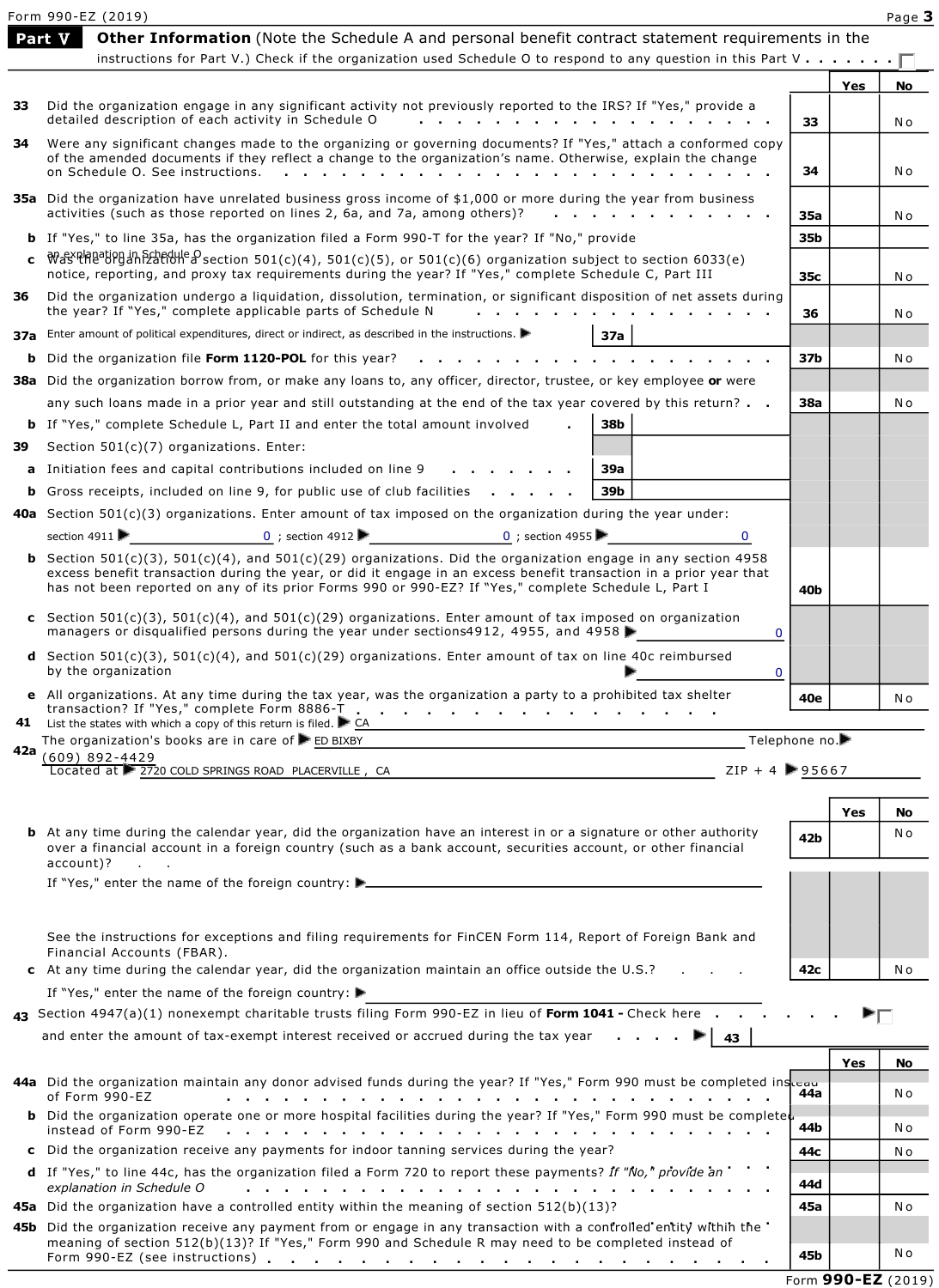|     | Form 990-EZ (2019)                                                                                                                                                                                                                                                                                                                                                     |                |     | Page 3 |
|-----|------------------------------------------------------------------------------------------------------------------------------------------------------------------------------------------------------------------------------------------------------------------------------------------------------------------------------------------------------------------------|----------------|-----|--------|
|     | Part V<br><b>Other Information</b> (Note the Schedule A and personal benefit contract statement requirements in the                                                                                                                                                                                                                                                    |                |     |        |
|     | instructions for Part V.) Check if the organization used Schedule O to respond to any question in this Part V $\lceil \cdot \rceil$                                                                                                                                                                                                                                    |                |     |        |
|     |                                                                                                                                                                                                                                                                                                                                                                        |                | Yes | No     |
| 33  | Did the organization engage in any significant activity not previously reported to the IRS? If "Yes," provide a<br>detailed description of each activity in Schedule O<br>$\sim$ $\sim$                                                                                                                                                                                | 33             |     | N o    |
| 34. | Were any significant changes made to the organizing or governing documents? If "Yes," attach a conformed copy                                                                                                                                                                                                                                                          |                |     |        |
|     | of the amended documents if they reflect a change to the organization's name. Otherwise, explain the change<br>on Schedule O. See instructions.                                                                                                                                                                                                                        | 34             |     | N o    |
|     |                                                                                                                                                                                                                                                                                                                                                                        |                |     |        |
|     | 35a Did the organization have unrelated business gross income of \$1,000 or more during the year from business<br>activities (such as those reported on lines 2, 6a, and 7a, among others)?                                                                                                                                                                            | <b>35a</b>     |     | N o    |
|     | <b>b</b> If "Yes," to line 35a, has the organization filed a Form 990-T for the year? If "No," provide                                                                                                                                                                                                                                                                 | 35b            |     |        |
| c.  | $W$ <sub>d</sub> syplanation in Schedule O section 501(c)(4), 501(c)(5), or 501(c)(6) organization subject to section 6033(e)                                                                                                                                                                                                                                          |                |     |        |
|     | notice, reporting, and proxy tax requirements during the year? If "Yes," complete Schedule C, Part III                                                                                                                                                                                                                                                                 | 35c            |     | N o    |
| 36  | Did the organization undergo a liquidation, dissolution, termination, or significant disposition of net assets during<br>the year? If "Yes," complete applicable parts of Schedule N                                                                                                                                                                                   | 36             |     | N o    |
|     | 37a Enter amount of political expenditures, direct or indirect, as described in the instructions.<br>37a                                                                                                                                                                                                                                                               |                |     |        |
|     | <b>b</b> Did the organization file Form 1120-POL for this year?                                                                                                                                                                                                                                                                                                        | 37b            |     | N o    |
|     | 38a Did the organization borrow from, or make any loans to, any officer, director, trustee, or key employee or were                                                                                                                                                                                                                                                    |                |     |        |
|     | any such loans made in a prior year and still outstanding at the end of the tax year covered by this return? $\blacksquare$ .                                                                                                                                                                                                                                          | <b>38a</b>     |     | N o    |
|     | 38b<br><b>b</b> If "Yes," complete Schedule L, Part II and enter the total amount involved                                                                                                                                                                                                                                                                             |                |     |        |
| 39  | Section 501(c)(7) organizations. Enter:                                                                                                                                                                                                                                                                                                                                |                |     |        |
|     | a Initiation fees and capital contributions included on line 9<br>39a                                                                                                                                                                                                                                                                                                  |                |     |        |
|     | <b>b</b> Gross receipts, included on line 9, for public use of club facilities<br>39b                                                                                                                                                                                                                                                                                  |                |     |        |
|     | <b>40a</b> Section 501(c)(3) organizations. Enter amount of tax imposed on the organization during the year under:                                                                                                                                                                                                                                                     |                |     |        |
|     | 0 ; section 4912<br>section 4911<br>0 ; section 4955<br>$\mathbf 0$                                                                                                                                                                                                                                                                                                    |                |     |        |
|     | <b>b</b> Section 501(c)(3), 501(c)(4), and 501(c)(29) organizations. Did the organization engage in any section 4958<br>excess benefit transaction during the year, or did it engage in an excess benefit transaction in a prior year that<br>has not been reported on any of its prior Forms 990 or 990-EZ? If "Yes," complete Schedule L, Part I                     | 40b            |     |        |
|     | c Section $501(c)(3)$ , $501(c)(4)$ , and $501(c)(29)$ organizations. Enter amount of tax imposed on organization<br>managers or disqualified persons during the year under sections 4912, 4955, and 4958<br>0                                                                                                                                                         |                |     |        |
|     | <b>d</b> Section 501(c)(3), 501(c)(4), and 501(c)(29) organizations. Enter amount of tax on line 40c reimbursed<br>by the organization<br>0                                                                                                                                                                                                                            |                |     |        |
|     | e All organizations. At any time during the tax year, was the organization a party to a prohibited tax shelter                                                                                                                                                                                                                                                         | 40e            |     | N o    |
|     | transaction? If "Yes," complete Form 8886-T<br>41 List the states with which a copy of this return is filed. LGA                                                                                                                                                                                                                                                       |                |     |        |
| 42a | The organization's books are in care of ED BIXBY                                                                                                                                                                                                                                                                                                                       | Telephone no.▶ |     |        |
|     | $(609)$ 892-4429<br>$ZIP + 4$ 25667<br>Located at 2720 COLD SPRINGS ROAD PLACERVILLE, CA                                                                                                                                                                                                                                                                               |                |     |        |
|     |                                                                                                                                                                                                                                                                                                                                                                        |                |     |        |
|     |                                                                                                                                                                                                                                                                                                                                                                        |                | Yes | No     |
|     | <b>b</b> At any time during the calendar year, did the organization have an interest in or a signature or other authority<br>over a financial account in a foreign country (such as a bank account, securities account, or other financial                                                                                                                             | 42 <b>b</b>    |     | N o    |
|     | $account)?$                                                                                                                                                                                                                                                                                                                                                            |                |     |        |
|     |                                                                                                                                                                                                                                                                                                                                                                        |                |     |        |
|     |                                                                                                                                                                                                                                                                                                                                                                        |                |     |        |
|     | See the instructions for exceptions and filing requirements for FinCEN Form 114, Report of Foreign Bank and<br>Financial Accounts (FBAR).                                                                                                                                                                                                                              |                |     |        |
|     | <b>c</b> At any time during the calendar year, did the organization maintain an office outside the $U.S.$ ?                                                                                                                                                                                                                                                            | 42c            |     | N o    |
|     | If "Yes," enter the name of the foreign country:                                                                                                                                                                                                                                                                                                                       |                |     |        |
|     | 43 Section 4947(a)(1) nonexempt charitable trusts filing Form 990-EZ in lieu of Form 1041 - Check here                                                                                                                                                                                                                                                                 |                |     |        |
|     | and enter the amount of tax-exempt interest received or accrued during the tax year $\cdots$<br>43                                                                                                                                                                                                                                                                     |                |     |        |
|     |                                                                                                                                                                                                                                                                                                                                                                        |                | Yes | No     |
|     | 44a Did the organization maintain any donor advised funds during the year? If "Yes," Form 990 must be completed ins<br>of Form 990-EZ<br>a constitution of the constitution of the constitution of the constitution of the constitution of the constitution of the constitution of the constitution of the constitution of the constitution of the constitution of the | 44a            |     | N o    |
|     | <b>b</b> Did the organization operate one or more hospital facilities during the year? If "Yes," Form 990 must be completed<br>instead of Form 990-EZ<br>and the contract of the contract of the contract of the contract of the contract of                                                                                                                           | 44b            |     | N o    |
|     | c Did the organization receive any payments for indoor tanning services during the year?                                                                                                                                                                                                                                                                               | 44c            |     | N o    |
|     | d If "Yes," to line 44c, has the organization filed a Form 720 to report these payments? If "No," provide an                                                                                                                                                                                                                                                           |                |     |        |
|     | explanation in Schedule O<br>and the company of the company of the company of the company of the company of the company of the company of the company of the company of the company of the company of the company of the company of the company of the comp<br>$\sim$ $\sim$                                                                                           | 44d            |     |        |
|     | <b>45a</b> Did the organization have a controlled entity within the meaning of section $512(b)(13)$ ?                                                                                                                                                                                                                                                                  | 45a            |     | N o    |
|     | 45b Did the organization receive any payment from or engage in any transaction with a controlled entity within the<br>meaning of section 512(b)(13)? If "Yes," Form 990 and Schedule R may need to be completed instead of                                                                                                                                             |                |     |        |
|     |                                                                                                                                                                                                                                                                                                                                                                        | 45b            |     | N o    |

Form **990-EZ** (2019)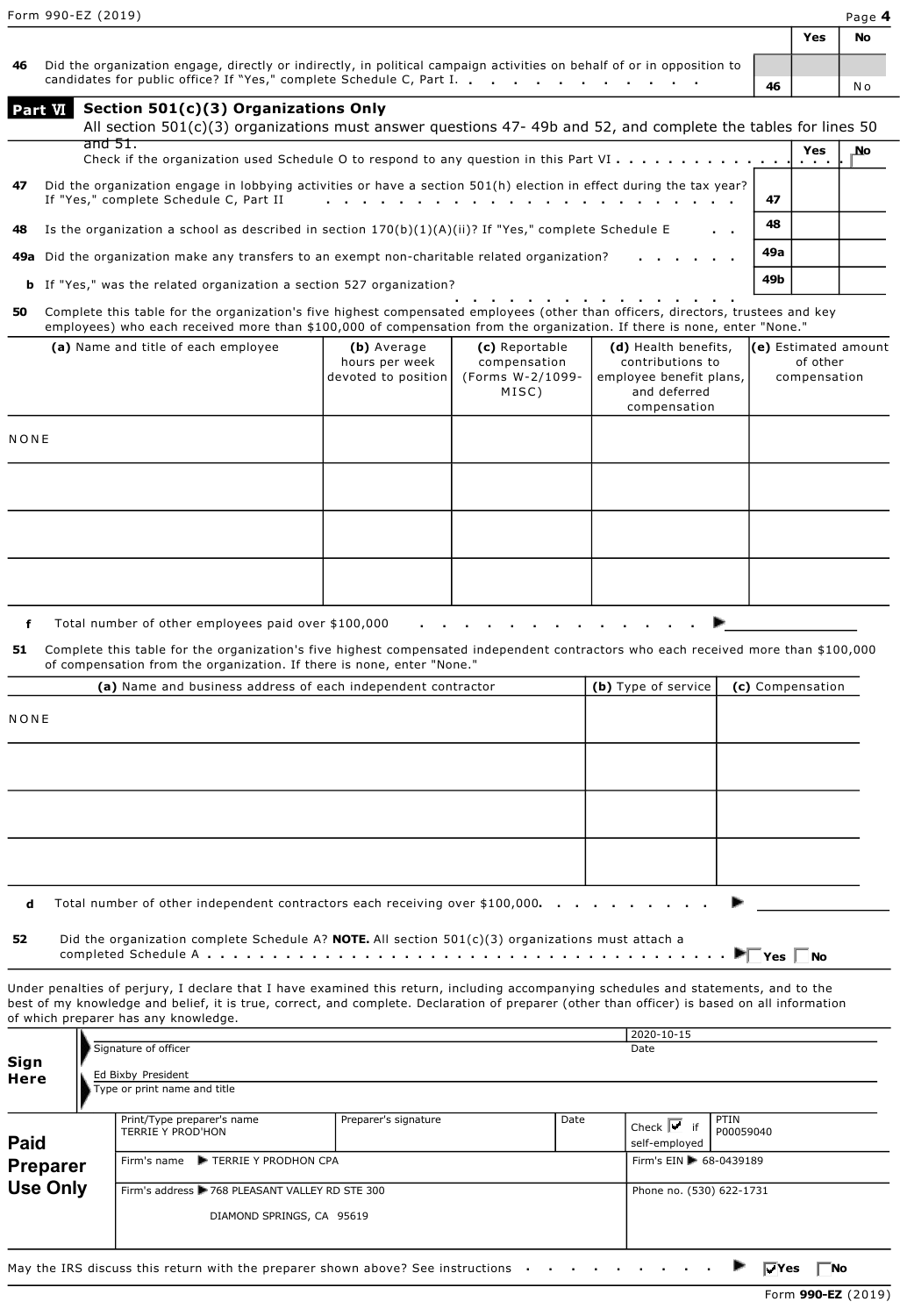**Yes No**

**49b**

| 46 Did the organization engage, directly or indirectly, in political campaign activities on behalf of or in opposition to |    |     |
|---------------------------------------------------------------------------------------------------------------------------|----|-----|
| candidates for public office? If "Yes," complete Schedule C, Part I.                                                      | 46 | N o |

| <b>Part VI</b> | Section 501(c)(3) Organizations Only                                                                                                                          |  |     |     |     |  |  |  |  |
|----------------|---------------------------------------------------------------------------------------------------------------------------------------------------------------|--|-----|-----|-----|--|--|--|--|
|                | All section $501(c)(3)$ organizations must answer questions 47-49b and 52, and complete the tables for lines 50                                               |  |     |     |     |  |  |  |  |
|                | and $51.$                                                                                                                                                     |  |     | Yes | _No |  |  |  |  |
| 47             | Did the organization engage in lobbying activities or have a section 501(h) election in effect during the tax year?<br>If "Yes," complete Schedule C, Part II |  | 47  |     |     |  |  |  |  |
| 48             | Is the organization a school as described in section $170(b)(1)(A)(ii)$ ? If "Yes," complete Schedule E                                                       |  | 48  |     |     |  |  |  |  |
|                | 49a Did the organization make any transfers to an exempt non-charitable related organization?                                                                 |  | 49a |     |     |  |  |  |  |

- **b** If "Yes," was the related organization a section 527 organization?
- **................ 50** Complete this table for the organization's five highest compensated employees (other than officers, directors, trustees and key employees) who each received more than \$100,000 of compensation from the organization. If there is none, enter "None."

| (a) Name and title of each employee | (b) Average<br>hours per week<br>devoted to position | (c) Reportable<br>compensation<br>(Forms W-2/1099-<br>MISC) | (d) Health benefits,<br>contributions to<br>employee benefit plans,<br>and deferred<br>compensation | (e) Estimated amount<br>of other<br>compensation |
|-------------------------------------|------------------------------------------------------|-------------------------------------------------------------|-----------------------------------------------------------------------------------------------------|--------------------------------------------------|
| NONE                                |                                                      |                                                             |                                                                                                     |                                                  |
|                                     |                                                      |                                                             |                                                                                                     |                                                  |
|                                     |                                                      |                                                             |                                                                                                     |                                                  |
|                                     |                                                      |                                                             |                                                                                                     |                                                  |

**f** Total number of other employees paid over \$100,000 **.............**

**51** Complete this table for the organization's five highest compensated independent contractors who each received more than \$100,000 of compensation from the organization. If there is none, enter "None."

|      | (a) Name and business address of each independent contractor | (b) Type of service | (c) Compensation |
|------|--------------------------------------------------------------|---------------------|------------------|
| NONE |                                                              |                     |                  |
|      |                                                              |                     |                  |
|      |                                                              |                     |                  |
|      |                                                              |                     |                  |
|      |                                                              |                     | <b>March</b>     |

**d** Total number of other independent contractors each receiving over \$100,000. . .

**52** Did the organization complete Schedule A? **NOTE.** All section 501(c)(3) organizations must attach a completed Schedule A **........................................ Yes No**

Under penalties of perjury, I declare that I have examined this return, including accompanying schedules and statements, and to the best of my knowledge and belief, it is true, correct, and complete. Declaration of preparer (other than officer) is based on all information of which preparer has any knowledge.

| Sign<br>Here            | Signature of officer<br>Ed Bixby President<br>Type or print name and title        |                      |      | 2020-10-15<br>Date                                                |                   |
|-------------------------|-----------------------------------------------------------------------------------|----------------------|------|-------------------------------------------------------------------|-------------------|
| Paid<br><b>Preparer</b> | Print/Type preparer's name<br>TERRIE Y PROD'HON<br>Firm's name FIRE Y PRODHON CPA | Preparer's signature | Date | Check $\overline{r}$ if<br>self-employed<br>Firm's EIN 68-0439189 | PTIN<br>P00059040 |
| <b>Use Only</b>         | Firm's address > 768 PLEASANT VALLEY RD STE 300<br>DIAMOND SPRINGS, CA 95619      |                      |      | Phone no. (530) 622-1731                                          |                   |

May the IRS discuss this return with the preparer shown above? See instructions **Access 1** *Lie* **No** Interventions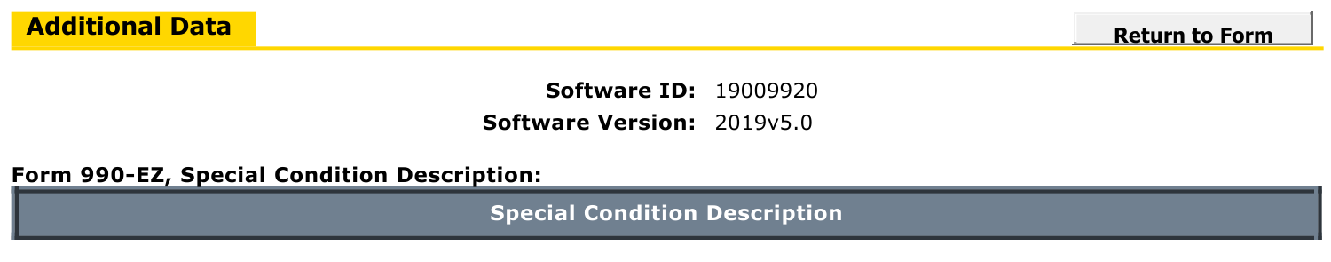



## **Software ID:** 19009920 **Software Version:** 2019v5.0

## Form 990-EZ, Special Condition Description:

**Special Condition Description**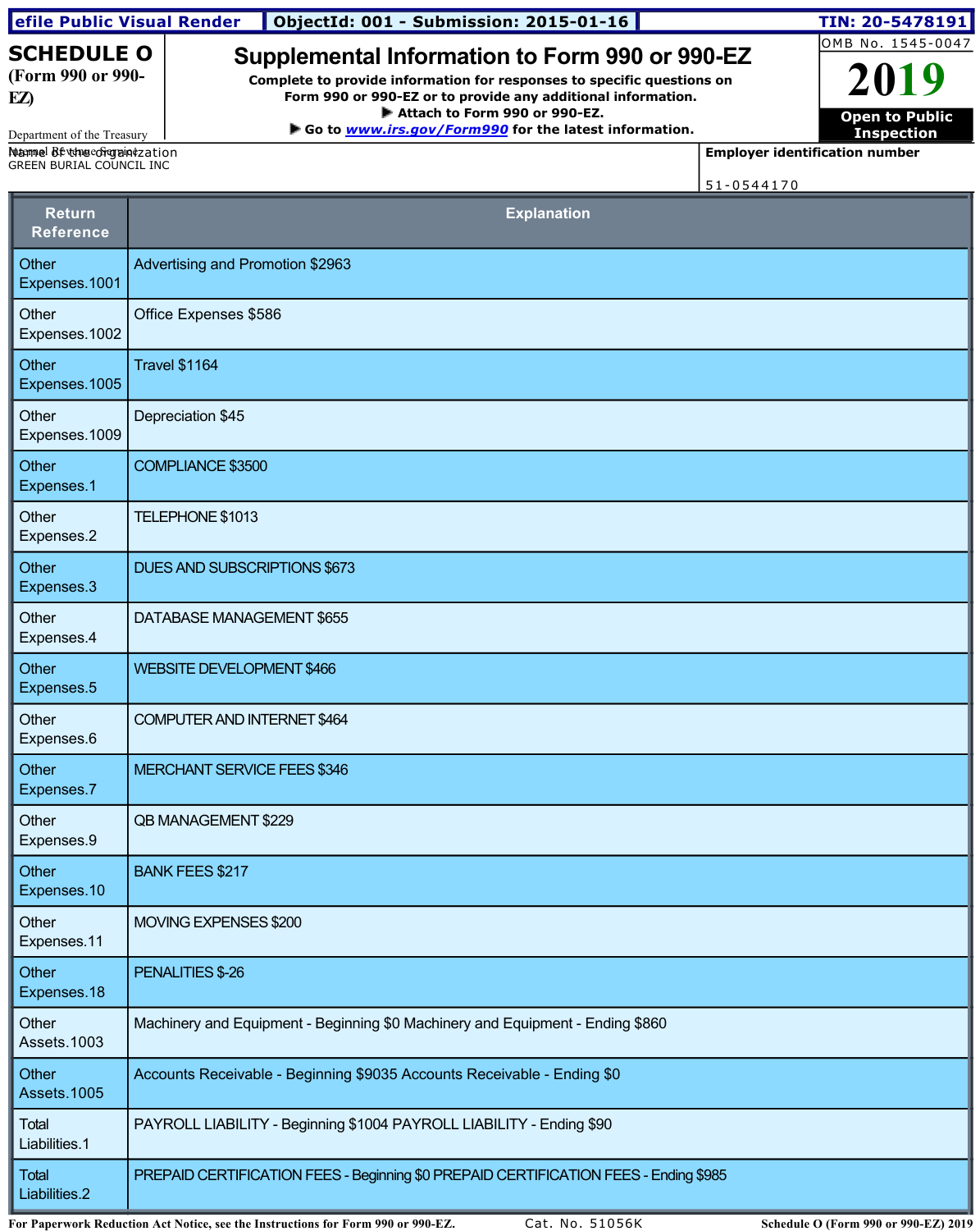| efile Public Visual Render                                |                                    | <b>ObjectId: 001 - Submission: 2015-01-16</b>                                                                                                                                            |                               |                                       | TIN: 20-5478191                            |
|-----------------------------------------------------------|------------------------------------|------------------------------------------------------------------------------------------------------------------------------------------------------------------------------------------|-------------------------------|---------------------------------------|--------------------------------------------|
| <b>SCHEDULE O</b><br>(Form 990 or 990-<br>EZ)             |                                    | Supplemental Information to Form 990 or 990-EZ<br>Complete to provide information for responses to specific questions on<br>Form 990 or 990-EZ or to provide any additional information. |                               |                                       | OMB No. 1545-0047<br>2019                  |
|                                                           |                                    | ► Go to www.irs.gov/Form990 for the latest information.                                                                                                                                  | Attach to Form 990 or 990-EZ. |                                       | <b>Open to Public</b><br><b>Inspection</b> |
| Department of the Treasury<br>Maamel Betthecorganiczation |                                    |                                                                                                                                                                                          |                               | <b>Employer identification number</b> |                                            |
| GREEN BURIAL COUNCIL INC                                  |                                    |                                                                                                                                                                                          |                               | 51-0544170                            |                                            |
| <b>Return</b><br><b>Reference</b>                         |                                    |                                                                                                                                                                                          | <b>Explanation</b>            |                                       |                                            |
| Other<br>Expenses.1001                                    | Advertising and Promotion \$2963   |                                                                                                                                                                                          |                               |                                       |                                            |
| Other<br>Expenses.1002                                    | Office Expenses \$586              |                                                                                                                                                                                          |                               |                                       |                                            |
| Other<br>Expenses.1005                                    | <b>Travel \$1164</b>               |                                                                                                                                                                                          |                               |                                       |                                            |
| Other<br>Expenses.1009                                    | Depreciation \$45                  |                                                                                                                                                                                          |                               |                                       |                                            |
| Other<br>Expenses.1                                       | COMPLIANCE \$3500                  |                                                                                                                                                                                          |                               |                                       |                                            |
| Other<br>Expenses.2                                       | TELEPHONE \$1013                   |                                                                                                                                                                                          |                               |                                       |                                            |
| Other<br>Expenses.3                                       | DUES AND SUBSCRIPTIONS \$673       |                                                                                                                                                                                          |                               |                                       |                                            |
| Other<br>Expenses.4                                       | DATABASE MANAGEMENT \$655          |                                                                                                                                                                                          |                               |                                       |                                            |
| Other<br>Expenses.5                                       | <b>WEBSITE DEVELOPMENT \$466</b>   |                                                                                                                                                                                          |                               |                                       |                                            |
| Other<br>Expenses.6                                       | COMPUTER AND INTERNET \$464        |                                                                                                                                                                                          |                               |                                       |                                            |
| Other<br>Expenses.7                                       | <b>MERCHANT SERVICE FEES \$346</b> |                                                                                                                                                                                          |                               |                                       |                                            |
| Other<br>Expenses.9                                       | <b>QB MANAGEMENT \$229</b>         |                                                                                                                                                                                          |                               |                                       |                                            |
| Other<br>Expenses.10                                      | <b>BANK FEES \$217</b>             |                                                                                                                                                                                          |                               |                                       |                                            |
| Other<br>Expenses.11                                      | MOVING EXPENSES \$200              |                                                                                                                                                                                          |                               |                                       |                                            |
| Other<br>Expenses.18                                      | PENALITIES \$-26                   |                                                                                                                                                                                          |                               |                                       |                                            |
| Other<br>Assets.1003                                      |                                    | Machinery and Equipment - Beginning \$0 Machinery and Equipment - Ending \$860                                                                                                           |                               |                                       |                                            |
| Other<br>Assets.1005                                      |                                    | Accounts Receivable - Beginning \$9035 Accounts Receivable - Ending \$0                                                                                                                  |                               |                                       |                                            |
| Total<br>Liabilities.1                                    |                                    | PAYROLL LIABILITY - Beginning \$1004 PAYROLL LIABILITY - Ending \$90                                                                                                                     |                               |                                       |                                            |
| Total<br>Liabilities.2                                    |                                    | PREPAID CERTIFICATION FEES - Beginning \$0 PREPAID CERTIFICATION FEES - Ending \$985                                                                                                     |                               |                                       |                                            |

**For Paperwork Reduction Act Notice, see the Instructions for Form 990 or 990EZ.** Cat. No. 51056K **Schedule O (Form 990 or 990EZ) 2019**